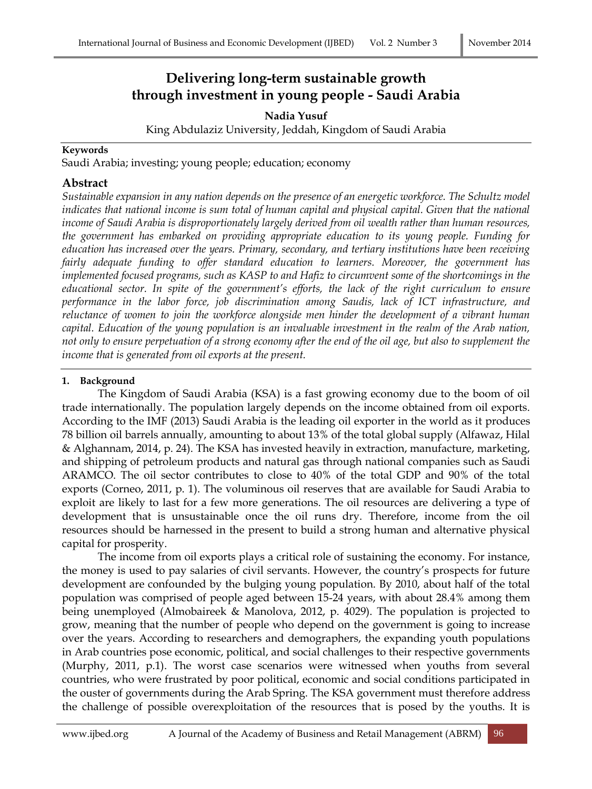# **Delivering long-term sustainable growth through investment in young people - Saudi Arabia**

**Nadia Yusuf** King Abdulaziz University, Jeddah, Kingdom of Saudi Arabia

#### **Keywords**

Saudi Arabia; investing; young people; education; economy

## **Abstract**

*Sustainable expansion in any nation depends on the presence of an energetic workforce. The Schultz model indicates that national income is sum total of human capital and physical capital. Given that the national income of Saudi Arabia is disproportionately largely derived from oil wealth rather than human resources, the government has embarked on providing appropriate education to its young people. Funding for education has increased over the years. Primary, secondary, and tertiary institutions have been receiving fairly adequate funding to offer standard education to learners. Moreover, the government has implemented focused programs, such as KASP to and Hafiz to circumvent some of the shortcomings in the educational sector. In spite of the government's efforts, the lack of the right curriculum to ensure performance in the labor force, job discrimination among Saudis, lack of ICT infrastructure, and reluctance of women to join the workforce alongside men hinder the development of a vibrant human capital. Education of the young population is an invaluable investment in the realm of the Arab nation, not only to ensure perpetuation of a strong economy after the end of the oil age, but also to supplement the income that is generated from oil exports at the present.* 

## **1. Background**

The Kingdom of Saudi Arabia (KSA) is a fast growing economy due to the boom of oil trade internationally. The population largely depends on the income obtained from oil exports. According to the IMF (2013) Saudi Arabia is the leading oil exporter in the world as it produces 78 billion oil barrels annually, amounting to about 13% of the total global supply (Alfawaz, Hilal & Alghannam, 2014, p. 24). The KSA has invested heavily in extraction, manufacture, marketing, and shipping of petroleum products and natural gas through national companies such as Saudi ARAMCO. The oil sector contributes to close to 40% of the total GDP and 90% of the total exports (Corneo, 2011, p. 1). The voluminous oil reserves that are available for Saudi Arabia to exploit are likely to last for a few more generations. The oil resources are delivering a type of development that is unsustainable once the oil runs dry. Therefore, income from the oil resources should be harnessed in the present to build a strong human and alternative physical capital for prosperity.

The income from oil exports plays a critical role of sustaining the economy. For instance, the money is used to pay salaries of civil servants. However, the country's prospects for future development are confounded by the bulging young population. By 2010, about half of the total population was comprised of people aged between 15-24 years, with about 28.4% among them being unemployed (Almobaireek & Manolova, 2012, p. 4029). The population is projected to grow, meaning that the number of people who depend on the government is going to increase over the years. According to researchers and demographers, the expanding youth populations in Arab countries pose economic, political, and social challenges to their respective governments (Murphy, 2011, p.1). The worst case scenarios were witnessed when youths from several countries, who were frustrated by poor political, economic and social conditions participated in the ouster of governments during the Arab Spring. The KSA government must therefore address the challenge of possible overexploitation of the resources that is posed by the youths. It is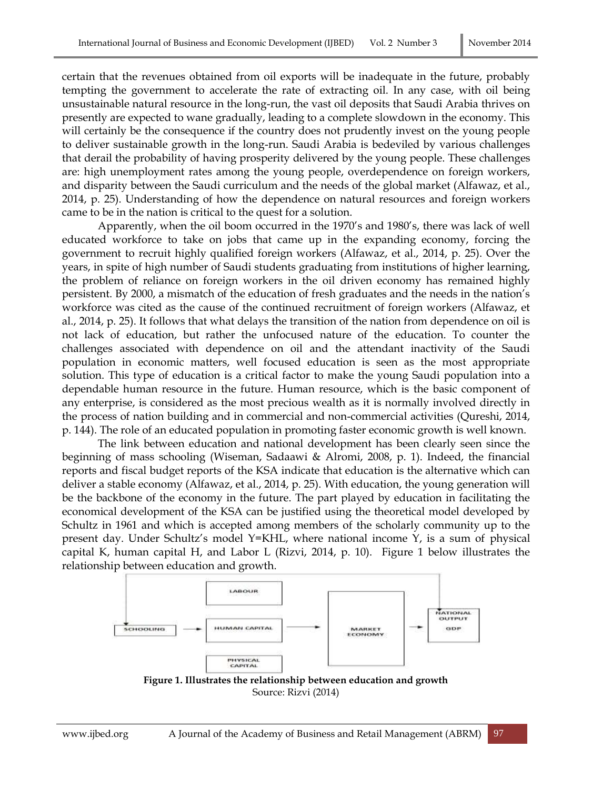certain that the revenues obtained from oil exports will be inadequate in the future, probably tempting the government to accelerate the rate of extracting oil. In any case, with oil being unsustainable natural resource in the long-run, the vast oil deposits that Saudi Arabia thrives on presently are expected to wane gradually, leading to a complete slowdown in the economy. This will certainly be the consequence if the country does not prudently invest on the young people to deliver sustainable growth in the long-run. Saudi Arabia is bedeviled by various challenges that derail the probability of having prosperity delivered by the young people. These challenges are: high unemployment rates among the young people, overdependence on foreign workers, and disparity between the Saudi curriculum and the needs of the global market (Alfawaz, et al., 2014, p. 25). Understanding of how the dependence on natural resources and foreign workers came to be in the nation is critical to the quest for a solution.

Apparently, when the oil boom occurred in the 1970's and 1980's, there was lack of well educated workforce to take on jobs that came up in the expanding economy, forcing the government to recruit highly qualified foreign workers (Alfawaz, et al., 2014, p. 25). Over the years, in spite of high number of Saudi students graduating from institutions of higher learning, the problem of reliance on foreign workers in the oil driven economy has remained highly persistent. By 2000, a mismatch of the education of fresh graduates and the needs in the nation's workforce was cited as the cause of the continued recruitment of foreign workers (Alfawaz, et al., 2014, p. 25). It follows that what delays the transition of the nation from dependence on oil is not lack of education, but rather the unfocused nature of the education. To counter the challenges associated with dependence on oil and the attendant inactivity of the Saudi population in economic matters, well focused education is seen as the most appropriate solution. This type of education is a critical factor to make the young Saudi population into a dependable human resource in the future. Human resource, which is the basic component of any enterprise, is considered as the most precious wealth as it is normally involved directly in the process of nation building and in commercial and non-commercial activities (Qureshi, 2014, p. 144). The role of an educated population in promoting faster economic growth is well known.

The link between education and national development has been clearly seen since the beginning of mass schooling (Wiseman, Sadaawi & Alromi, 2008, p. 1). Indeed, the financial reports and fiscal budget reports of the KSA indicate that education is the alternative which can deliver a stable economy (Alfawaz, et al., 2014, p. 25). With education, the young generation will be the backbone of the economy in the future. The part played by education in facilitating the economical development of the KSA can be justified using the theoretical model developed by Schultz in 1961 and which is accepted among members of the scholarly community up to the present day. Under Schultz's model Y=KHL, where national income Y, is a sum of physical capital K, human capital H, and Labor L (Rizvi, 2014, p. 10). Figure 1 below illustrates the relationship between education and growth.



Source: Rizvi (2014)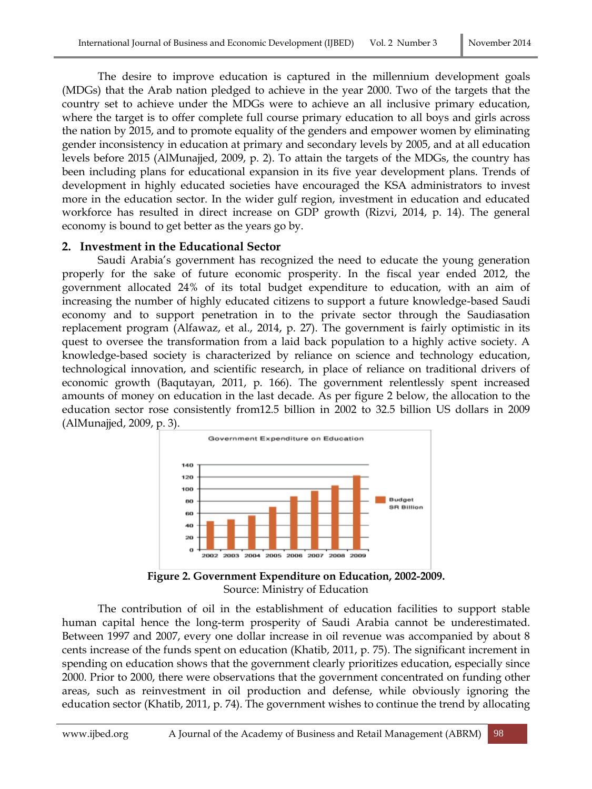The desire to improve education is captured in the millennium development goals (MDGs) that the Arab nation pledged to achieve in the year 2000. Two of the targets that the country set to achieve under the MDGs were to achieve an all inclusive primary education, where the target is to offer complete full course primary education to all boys and girls across the nation by 2015, and to promote equality of the genders and empower women by eliminating gender inconsistency in education at primary and secondary levels by 2005, and at all education levels before 2015 (AlMunajjed, 2009, p. 2). To attain the targets of the MDGs, the country has been including plans for educational expansion in its five year development plans. Trends of development in highly educated societies have encouraged the KSA administrators to invest more in the education sector. In the wider gulf region, investment in education and educated workforce has resulted in direct increase on GDP growth (Rizvi, 2014, p. 14). The general economy is bound to get better as the years go by.

### **2. Investment in the Educational Sector**

Saudi Arabia's government has recognized the need to educate the young generation properly for the sake of future economic prosperity. In the fiscal year ended 2012, the government allocated 24% of its total budget expenditure to education, with an aim of increasing the number of highly educated citizens to support a future knowledge-based Saudi economy and to support penetration in to the private sector through the Saudiasation replacement program (Alfawaz, et al., 2014, p. 27). The government is fairly optimistic in its quest to oversee the transformation from a laid back population to a highly active society. A knowledge-based society is characterized by reliance on science and technology education, technological innovation, and scientific research, in place of reliance on traditional drivers of economic growth (Baqutayan, 2011, p. 166). The government relentlessly spent increased amounts of money on education in the last decade. As per figure 2 below, the allocation to the education sector rose consistently from12.5 billion in 2002 to 32.5 billion US dollars in 2009 (AlMunajjed, 2009, p. 3).



**Figure 2. Government Expenditure on Education, 2002-2009.** Source: Ministry of Education

The contribution of oil in the establishment of education facilities to support stable human capital hence the long-term prosperity of Saudi Arabia cannot be underestimated. Between 1997 and 2007, every one dollar increase in oil revenue was accompanied by about 8 cents increase of the funds spent on education (Khatib, 2011, p. 75). The significant increment in spending on education shows that the government clearly prioritizes education, especially since 2000. Prior to 2000, there were observations that the government concentrated on funding other areas, such as reinvestment in oil production and defense, while obviously ignoring the education sector (Khatib, 2011, p. 74). The government wishes to continue the trend by allocating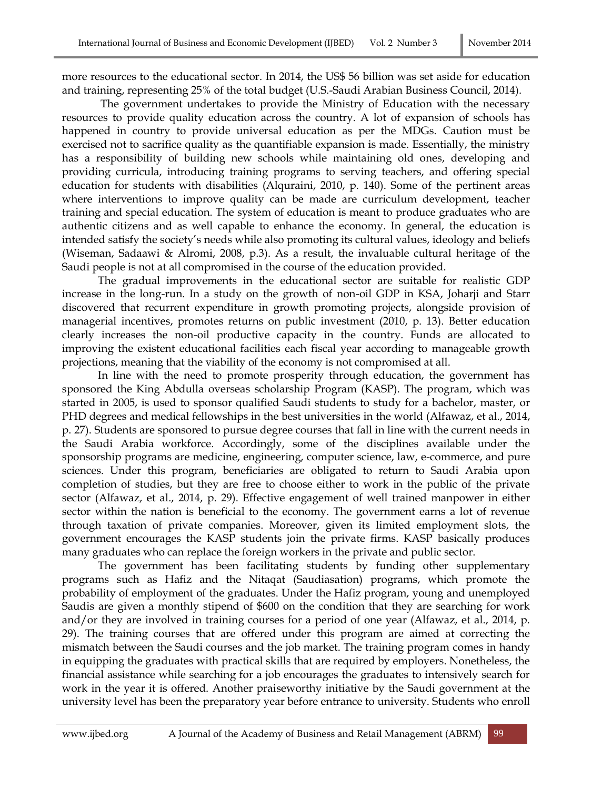more resources to the educational sector. In 2014, the US\$ 56 billion was set aside for education and training, representing 25% of the total budget (U.S.-Saudi Arabian Business Council, 2014).

The government undertakes to provide the Ministry of Education with the necessary resources to provide quality education across the country. A lot of expansion of schools has happened in country to provide universal education as per the MDGs. Caution must be exercised not to sacrifice quality as the quantifiable expansion is made. Essentially, the ministry has a responsibility of building new schools while maintaining old ones, developing and providing curricula, introducing training programs to serving teachers, and offering special education for students with disabilities (Alquraini, 2010, p. 140). Some of the pertinent areas where interventions to improve quality can be made are curriculum development, teacher training and special education. The system of education is meant to produce graduates who are authentic citizens and as well capable to enhance the economy. In general, the education is intended satisfy the society's needs while also promoting its cultural values, ideology and beliefs (Wiseman, Sadaawi & Alromi, 2008, p.3). As a result, the invaluable cultural heritage of the Saudi people is not at all compromised in the course of the education provided.

The gradual improvements in the educational sector are suitable for realistic GDP increase in the long-run. In a study on the growth of non-oil GDP in KSA, Joharji and Starr discovered that recurrent expenditure in growth promoting projects, alongside provision of managerial incentives, promotes returns on public investment (2010, p. 13). Better education clearly increases the non-oil productive capacity in the country. Funds are allocated to improving the existent educational facilities each fiscal year according to manageable growth projections, meaning that the viability of the economy is not compromised at all.

In line with the need to promote prosperity through education, the government has sponsored the King Abdulla overseas scholarship Program (KASP). The program, which was started in 2005, is used to sponsor qualified Saudi students to study for a bachelor, master, or PHD degrees and medical fellowships in the best universities in the world (Alfawaz, et al., 2014, p. 27). Students are sponsored to pursue degree courses that fall in line with the current needs in the Saudi Arabia workforce. Accordingly, some of the disciplines available under the sponsorship programs are medicine, engineering, computer science, law, e-commerce, and pure sciences. Under this program, beneficiaries are obligated to return to Saudi Arabia upon completion of studies, but they are free to choose either to work in the public of the private sector (Alfawaz, et al., 2014, p. 29). Effective engagement of well trained manpower in either sector within the nation is beneficial to the economy. The government earns a lot of revenue through taxation of private companies. Moreover, given its limited employment slots, the government encourages the KASP students join the private firms. KASP basically produces many graduates who can replace the foreign workers in the private and public sector.

The government has been facilitating students by funding other supplementary programs such as Hafiz and the Nitaqat (Saudiasation) programs, which promote the probability of employment of the graduates. Under the Hafiz program, young and unemployed Saudis are given a monthly stipend of \$600 on the condition that they are searching for work and/or they are involved in training courses for a period of one year (Alfawaz, et al., 2014, p. 29). The training courses that are offered under this program are aimed at correcting the mismatch between the Saudi courses and the job market. The training program comes in handy in equipping the graduates with practical skills that are required by employers. Nonetheless, the financial assistance while searching for a job encourages the graduates to intensively search for work in the year it is offered. Another praiseworthy initiative by the Saudi government at the university level has been the preparatory year before entrance to university. Students who enroll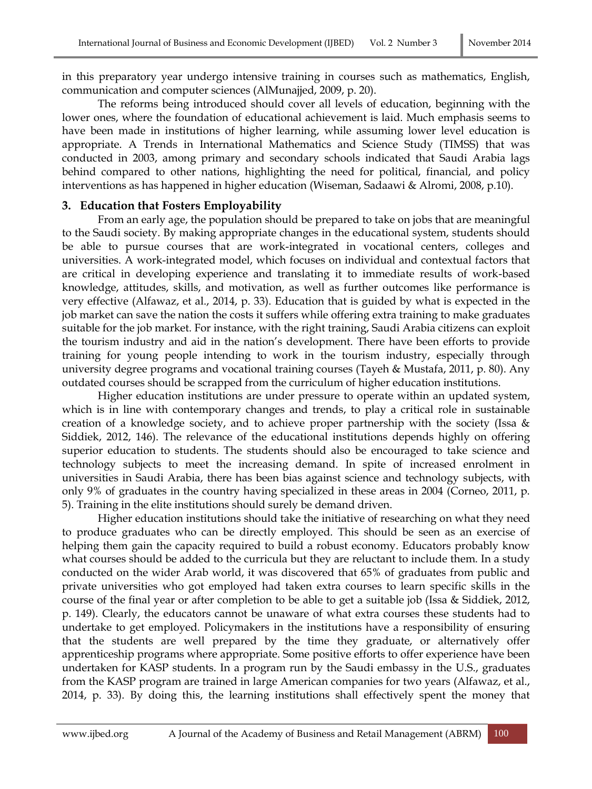in this preparatory year undergo intensive training in courses such as mathematics, English, communication and computer sciences (AlMunajjed, 2009, p. 20).

The reforms being introduced should cover all levels of education, beginning with the lower ones, where the foundation of educational achievement is laid. Much emphasis seems to have been made in institutions of higher learning, while assuming lower level education is appropriate. A Trends in International Mathematics and Science Study (TIMSS) that was conducted in 2003, among primary and secondary schools indicated that Saudi Arabia lags behind compared to other nations, highlighting the need for political, financial, and policy interventions as has happened in higher education (Wiseman, Sadaawi & Alromi, 2008, p.10).

## **3. Education that Fosters Employability**

From an early age, the population should be prepared to take on jobs that are meaningful to the Saudi society. By making appropriate changes in the educational system, students should be able to pursue courses that are work-integrated in vocational centers, colleges and universities. A work-integrated model, which focuses on individual and contextual factors that are critical in developing experience and translating it to immediate results of work-based knowledge, attitudes, skills, and motivation, as well as further outcomes like performance is very effective (Alfawaz, et al., 2014, p. 33). Education that is guided by what is expected in the job market can save the nation the costs it suffers while offering extra training to make graduates suitable for the job market. For instance, with the right training, Saudi Arabia citizens can exploit the tourism industry and aid in the nation's development. There have been efforts to provide training for young people intending to work in the tourism industry, especially through university degree programs and vocational training courses (Tayeh & Mustafa, 2011, p. 80). Any outdated courses should be scrapped from the curriculum of higher education institutions.

Higher education institutions are under pressure to operate within an updated system, which is in line with contemporary changes and trends, to play a critical role in sustainable creation of a knowledge society, and to achieve proper partnership with the society (Issa & Siddiek, 2012, 146). The relevance of the educational institutions depends highly on offering superior education to students. The students should also be encouraged to take science and technology subjects to meet the increasing demand. In spite of increased enrolment in universities in Saudi Arabia, there has been bias against science and technology subjects, with only 9% of graduates in the country having specialized in these areas in 2004 (Corneo, 2011, p. 5). Training in the elite institutions should surely be demand driven.

Higher education institutions should take the initiative of researching on what they need to produce graduates who can be directly employed. This should be seen as an exercise of helping them gain the capacity required to build a robust economy. Educators probably know what courses should be added to the curricula but they are reluctant to include them. In a study conducted on the wider Arab world, it was discovered that 65% of graduates from public and private universities who got employed had taken extra courses to learn specific skills in the course of the final year or after completion to be able to get a suitable job (Issa & Siddiek, 2012, p. 149). Clearly, the educators cannot be unaware of what extra courses these students had to undertake to get employed. Policymakers in the institutions have a responsibility of ensuring that the students are well prepared by the time they graduate, or alternatively offer apprenticeship programs where appropriate. Some positive efforts to offer experience have been undertaken for KASP students. In a program run by the Saudi embassy in the U.S., graduates from the KASP program are trained in large American companies for two years (Alfawaz, et al., 2014, p. 33). By doing this, the learning institutions shall effectively spent the money that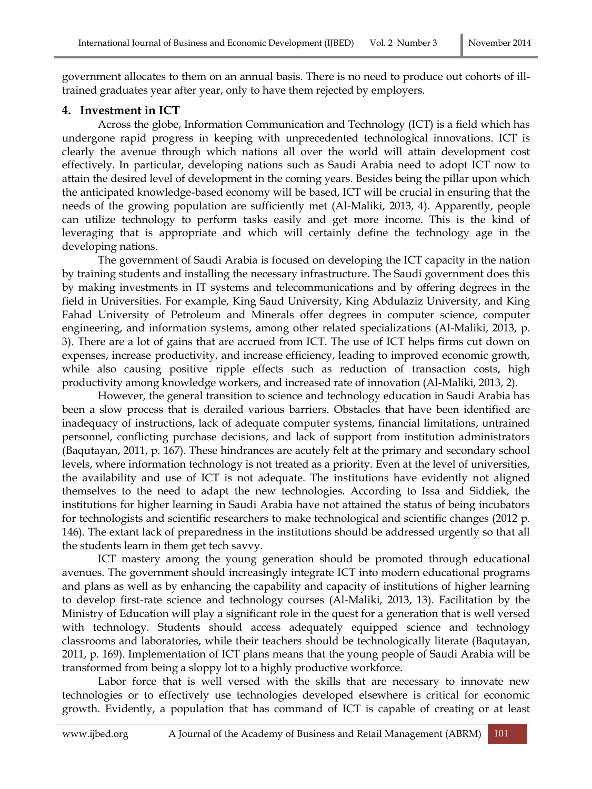government allocates to them on an annual basis. There is no need to produce out cohorts of illtrained graduates year after year, only to have them rejected by employers.

# **4. Investment in ICT**

Across the globe, Information Communication and Technology (ICT) is a field which has undergone rapid progress in keeping with unprecedented technological innovations. ICT is clearly the avenue through which nations all over the world will attain development cost effectively. In particular, developing nations such as Saudi Arabia need to adopt ICT now to attain the desired level of development in the coming years. Besides being the pillar upon which the anticipated knowledge-based economy will be based, ICT will be crucial in ensuring that the needs of the growing population are sufficiently met (Al-Maliki, 2013, 4). Apparently, people can utilize technology to perform tasks easily and get more income. This is the kind of leveraging that is appropriate and which will certainly define the technology age in the developing nations.

The government of Saudi Arabia is focused on developing the ICT capacity in the nation by training students and installing the necessary infrastructure. The Saudi government does this by making investments in IT systems and telecommunications and by offering degrees in the field in Universities. For example, King Saud University, King Abdulaziz University, and King Fahad University of Petroleum and Minerals offer degrees in computer science, computer engineering, and information systems, among other related specializations (Al-Maliki, 2013, p. 3). There are a lot of gains that are accrued from ICT. The use of ICT helps firms cut down on expenses, increase productivity, and increase efficiency, leading to improved economic growth, while also causing positive ripple effects such as reduction of transaction costs, high productivity among knowledge workers, and increased rate of innovation (Al-Maliki, 2013, 2).

However, the general transition to science and technology education in Saudi Arabia has been a slow process that is derailed various barriers. Obstacles that have been identified are inadequacy of instructions, lack of adequate computer systems, financial limitations, untrained personnel, conflicting purchase decisions, and lack of support from institution administrators (Baqutayan, 2011, p. 167). These hindrances are acutely felt at the primary and secondary school levels, where information technology is not treated as a priority. Even at the level of universities, the availability and use of ICT is not adequate. The institutions have evidently not aligned themselves to the need to adapt the new technologies. According to Issa and Siddiek, the institutions for higher learning in Saudi Arabia have not attained the status of being incubators for technologists and scientific researchers to make technological and scientific changes (2012 p. 146). The extant lack of preparedness in the institutions should be addressed urgently so that all the students learn in them get tech savvy.

ICT mastery among the young generation should be promoted through educational avenues. The government should increasingly integrate ICT into modern educational programs and plans as well as by enhancing the capability and capacity of institutions of higher learning to develop first-rate science and technology courses (Al-Maliki, 2013, 13). Facilitation by the Ministry of Education will play a significant role in the quest for a generation that is well versed with technology. Students should access adequately equipped science and technology classrooms and laboratories, while their teachers should be technologically literate (Baqutayan, 2011, p. 169). Implementation of ICT plans means that the young people of Saudi Arabia will be transformed from being a sloppy lot to a highly productive workforce.

Labor force that is well versed with the skills that are necessary to innovate new technologies or to effectively use technologies developed elsewhere is critical for economic growth. Evidently, a population that has command of ICT is capable of creating or at least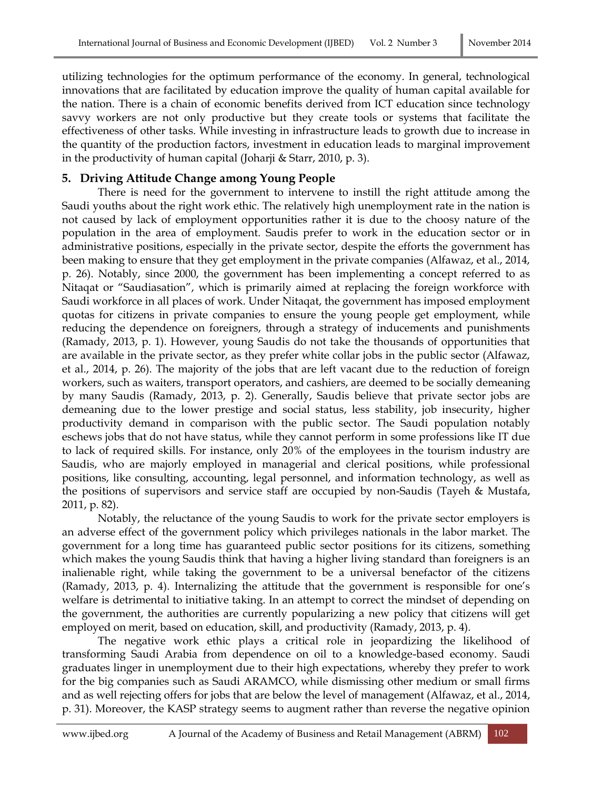utilizing technologies for the optimum performance of the economy. In general, technological innovations that are facilitated by education improve the quality of human capital available for the nation. There is a chain of economic benefits derived from ICT education since technology savvy workers are not only productive but they create tools or systems that facilitate the effectiveness of other tasks. While investing in infrastructure leads to growth due to increase in the quantity of the production factors, investment in education leads to marginal improvement in the productivity of human capital (Joharji & Starr, 2010, p. 3).

# **5. Driving Attitude Change among Young People**

There is need for the government to intervene to instill the right attitude among the Saudi youths about the right work ethic. The relatively high unemployment rate in the nation is not caused by lack of employment opportunities rather it is due to the choosy nature of the population in the area of employment. Saudis prefer to work in the education sector or in administrative positions, especially in the private sector, despite the efforts the government has been making to ensure that they get employment in the private companies (Alfawaz, et al., 2014, p. 26). Notably, since 2000, the government has been implementing a concept referred to as Nitaqat or "Saudiasation", which is primarily aimed at replacing the foreign workforce with Saudi workforce in all places of work. Under Nitaqat, the government has imposed employment quotas for citizens in private companies to ensure the young people get employment, while reducing the dependence on foreigners, through a strategy of inducements and punishments (Ramady, 2013, p. 1). However, young Saudis do not take the thousands of opportunities that are available in the private sector, as they prefer white collar jobs in the public sector (Alfawaz, et al., 2014, p. 26). The majority of the jobs that are left vacant due to the reduction of foreign workers, such as waiters, transport operators, and cashiers, are deemed to be socially demeaning by many Saudis (Ramady, 2013, p. 2). Generally, Saudis believe that private sector jobs are demeaning due to the lower prestige and social status, less stability, job insecurity, higher productivity demand in comparison with the public sector. The Saudi population notably eschews jobs that do not have status, while they cannot perform in some professions like IT due to lack of required skills. For instance, only 20% of the employees in the tourism industry are Saudis, who are majorly employed in managerial and clerical positions, while professional positions, like consulting, accounting, legal personnel, and information technology, as well as the positions of supervisors and service staff are occupied by non-Saudis (Tayeh & Mustafa, 2011, p. 82).

Notably, the reluctance of the young Saudis to work for the private sector employers is an adverse effect of the government policy which privileges nationals in the labor market. The government for a long time has guaranteed public sector positions for its citizens, something which makes the young Saudis think that having a higher living standard than foreigners is an inalienable right, while taking the government to be a universal benefactor of the citizens (Ramady, 2013, p. 4). Internalizing the attitude that the government is responsible for one's welfare is detrimental to initiative taking. In an attempt to correct the mindset of depending on the government, the authorities are currently popularizing a new policy that citizens will get employed on merit, based on education, skill, and productivity (Ramady, 2013, p. 4).

The negative work ethic plays a critical role in jeopardizing the likelihood of transforming Saudi Arabia from dependence on oil to a knowledge-based economy. Saudi graduates linger in unemployment due to their high expectations, whereby they prefer to work for the big companies such as Saudi ARAMCO, while dismissing other medium or small firms and as well rejecting offers for jobs that are below the level of management (Alfawaz, et al., 2014, p. 31). Moreover, the KASP strategy seems to augment rather than reverse the negative opinion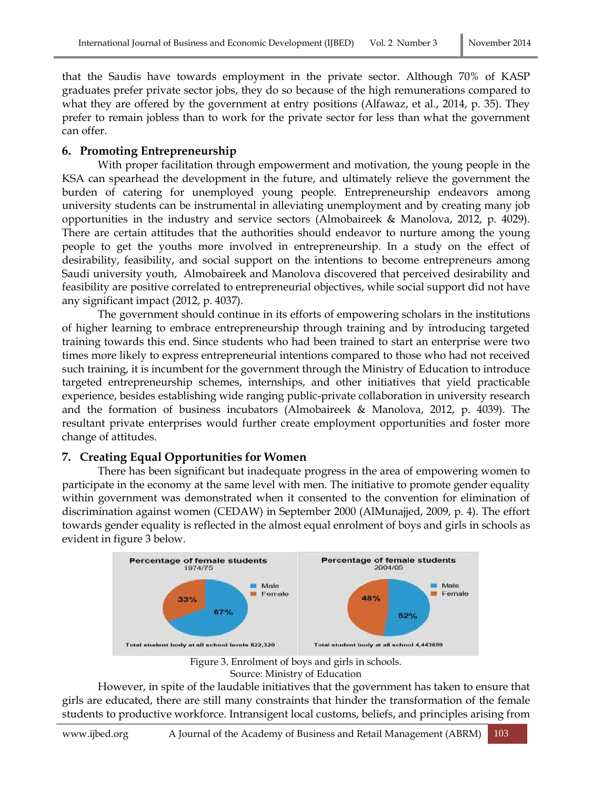that the Saudis have towards employment in the private sector. Although 70% of KASP graduates prefer private sector jobs, they do so because of the high remunerations compared to what they are offered by the government at entry positions (Alfawaz, et al., 2014, p. 35). They prefer to remain jobless than to work for the private sector for less than what the government can offer.

# **6. Promoting Entrepreneurship**

With proper facilitation through empowerment and motivation, the young people in the KSA can spearhead the development in the future, and ultimately relieve the government the burden of catering for unemployed young people. Entrepreneurship endeavors among university students can be instrumental in alleviating unemployment and by creating many job opportunities in the industry and service sectors (Almobaireek & Manolova, 2012, p. 4029). There are certain attitudes that the authorities should endeavor to nurture among the young people to get the youths more involved in entrepreneurship. In a study on the effect of desirability, feasibility, and social support on the intentions to become entrepreneurs among Saudi university youth, Almobaireek and Manolova discovered that perceived desirability and feasibility are positive correlated to entrepreneurial objectives, while social support did not have any significant impact (2012, p. 4037).

The government should continue in its efforts of empowering scholars in the institutions of higher learning to embrace entrepreneurship through training and by introducing targeted training towards this end. Since students who had been trained to start an enterprise were two times more likely to express entrepreneurial intentions compared to those who had not received such training, it is incumbent for the government through the Ministry of Education to introduce targeted entrepreneurship schemes, internships, and other initiatives that yield practicable experience, besides establishing wide ranging public-private collaboration in university research and the formation of business incubators (Almobaireek & Manolova, 2012, p. 4039). The resultant private enterprises would further create employment opportunities and foster more change of attitudes.

### **7. Creating Equal Opportunities for Women**

There has been significant but inadequate progress in the area of empowering women to participate in the economy at the same level with men. The initiative to promote gender equality within government was demonstrated when it consented to the convention for elimination of discrimination against women (CEDAW) in September 2000 (AlMunajjed, 2009, p. 4). The effort towards gender equality is reflected in the almost equal enrolment of boys and girls in schools as evident in figure 3 below.



Figure 3. Enrolment of boys and girls in schools.

Source: Ministry of Education

However, in spite of the laudable initiatives that the government has taken to ensure that girls are educated, there are still many constraints that hinder the transformation of the female students to productive workforce. Intransigent local customs, beliefs, and principles arising from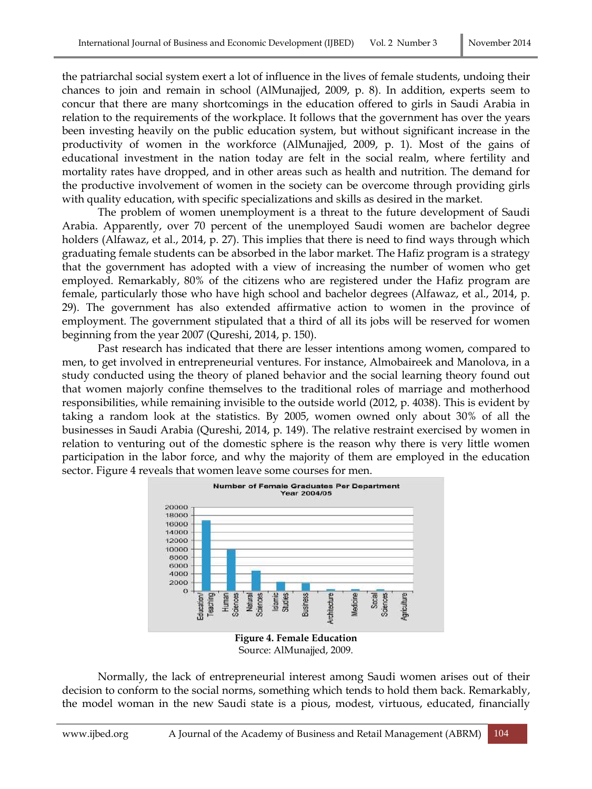the patriarchal social system exert a lot of influence in the lives of female students, undoing their chances to join and remain in school (AlMunajjed, 2009, p. 8). In addition, experts seem to concur that there are many shortcomings in the education offered to girls in Saudi Arabia in relation to the requirements of the workplace. It follows that the government has over the years been investing heavily on the public education system, but without significant increase in the productivity of women in the workforce (AlMunajjed, 2009, p. 1). Most of the gains of educational investment in the nation today are felt in the social realm, where fertility and mortality rates have dropped, and in other areas such as health and nutrition. The demand for the productive involvement of women in the society can be overcome through providing girls with quality education, with specific specializations and skills as desired in the market.

The problem of women unemployment is a threat to the future development of Saudi Arabia. Apparently, over 70 percent of the unemployed Saudi women are bachelor degree holders (Alfawaz, et al., 2014, p. 27). This implies that there is need to find ways through which graduating female students can be absorbed in the labor market. The Hafiz program is a strategy that the government has adopted with a view of increasing the number of women who get employed. Remarkably, 80% of the citizens who are registered under the Hafiz program are female, particularly those who have high school and bachelor degrees (Alfawaz, et al., 2014, p. 29). The government has also extended affirmative action to women in the province of employment. The government stipulated that a third of all its jobs will be reserved for women beginning from the year 2007 (Qureshi, 2014, p. 150).

Past research has indicated that there are lesser intentions among women, compared to men, to get involved in entrepreneurial ventures. For instance, Almobaireek and Manolova, in a study conducted using the theory of planed behavior and the social learning theory found out that women majorly confine themselves to the traditional roles of marriage and motherhood responsibilities, while remaining invisible to the outside world (2012, p. 4038). This is evident by taking a random look at the statistics. By 2005, women owned only about 30% of all the businesses in Saudi Arabia (Qureshi, 2014, p. 149). The relative restraint exercised by women in relation to venturing out of the domestic sphere is the reason why there is very little women participation in the labor force, and why the majority of them are employed in the education sector. Figure 4 reveals that women leave some courses for men.



Source: AlMunajjed, 2009.

Normally, the lack of entrepreneurial interest among Saudi women arises out of their decision to conform to the social norms, something which tends to hold them back. Remarkably, the model woman in the new Saudi state is a pious, modest, virtuous, educated, financially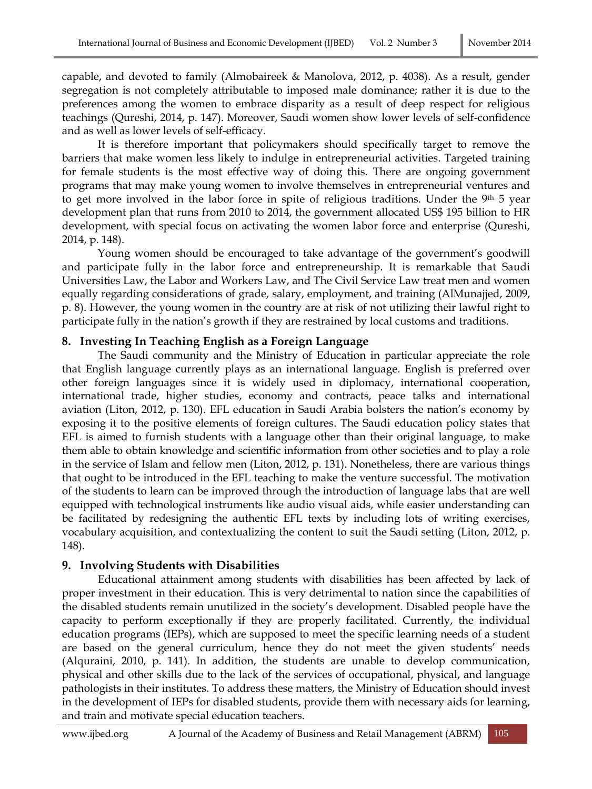capable, and devoted to family (Almobaireek & Manolova, 2012, p. 4038). As a result, gender segregation is not completely attributable to imposed male dominance; rather it is due to the preferences among the women to embrace disparity as a result of deep respect for religious teachings (Qureshi, 2014, p. 147). Moreover, Saudi women show lower levels of self-confidence and as well as lower levels of self-efficacy.

It is therefore important that policymakers should specifically target to remove the barriers that make women less likely to indulge in entrepreneurial activities. Targeted training for female students is the most effective way of doing this. There are ongoing government programs that may make young women to involve themselves in entrepreneurial ventures and to get more involved in the labor force in spite of religious traditions. Under the 9<sup>th</sup> 5 year development plan that runs from 2010 to 2014, the government allocated US\$ 195 billion to HR development, with special focus on activating the women labor force and enterprise (Qureshi, 2014, p. 148).

Young women should be encouraged to take advantage of the government's goodwill and participate fully in the labor force and entrepreneurship. It is remarkable that Saudi Universities Law, the Labor and Workers Law, and The Civil Service Law treat men and women equally regarding considerations of grade, salary, employment, and training (AlMunajjed, 2009, p. 8). However, the young women in the country are at risk of not utilizing their lawful right to participate fully in the nation's growth if they are restrained by local customs and traditions.

## **8. Investing In Teaching English as a Foreign Language**

The Saudi community and the Ministry of Education in particular appreciate the role that English language currently plays as an international language. English is preferred over other foreign languages since it is widely used in diplomacy, international cooperation, international trade, higher studies, economy and contracts, peace talks and international aviation (Liton, 2012, p. 130). EFL education in Saudi Arabia bolsters the nation's economy by exposing it to the positive elements of foreign cultures. The Saudi education policy states that EFL is aimed to furnish students with a language other than their original language, to make them able to obtain knowledge and scientific information from other societies and to play a role in the service of Islam and fellow men (Liton, 2012, p. 131). Nonetheless, there are various things that ought to be introduced in the EFL teaching to make the venture successful. The motivation of the students to learn can be improved through the introduction of language labs that are well equipped with technological instruments like audio visual aids, while easier understanding can be facilitated by redesigning the authentic EFL texts by including lots of writing exercises, vocabulary acquisition, and contextualizing the content to suit the Saudi setting (Liton, 2012, p. 148).

# **9. Involving Students with Disabilities**

Educational attainment among students with disabilities has been affected by lack of proper investment in their education. This is very detrimental to nation since the capabilities of the disabled students remain unutilized in the society's development. Disabled people have the capacity to perform exceptionally if they are properly facilitated. Currently, the individual education programs (IEPs), which are supposed to meet the specific learning needs of a student are based on the general curriculum, hence they do not meet the given students' needs (Alquraini, 2010, p. 141). In addition, the students are unable to develop communication, physical and other skills due to the lack of the services of occupational, physical, and language pathologists in their institutes. To address these matters, the Ministry of Education should invest in the development of IEPs for disabled students, provide them with necessary aids for learning, and train and motivate special education teachers.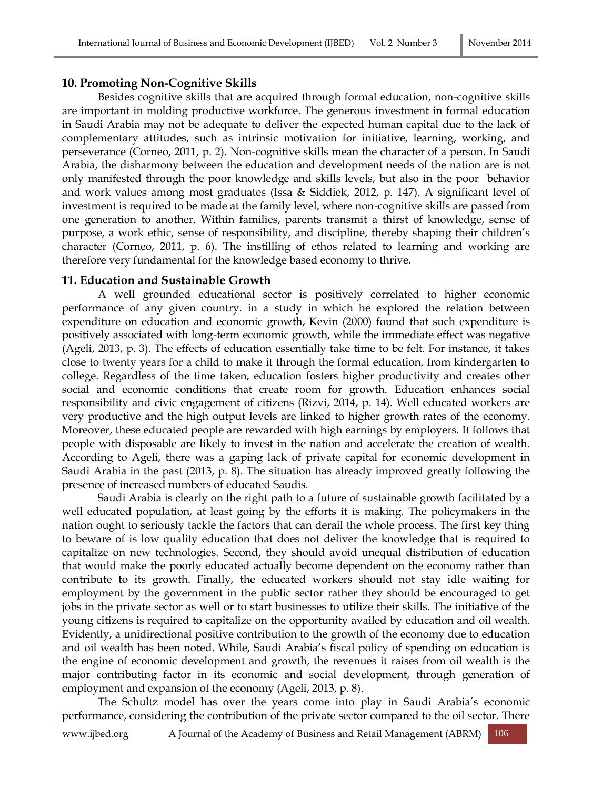## **10. Promoting Non-Cognitive Skills**

Besides cognitive skills that are acquired through formal education, non-cognitive skills are important in molding productive workforce. The generous investment in formal education in Saudi Arabia may not be adequate to deliver the expected human capital due to the lack of complementary attitudes, such as intrinsic motivation for initiative, learning, working, and perseverance (Corneo, 2011, p. 2). Non-cognitive skills mean the character of a person. In Saudi Arabia, the disharmony between the education and development needs of the nation are is not only manifested through the poor knowledge and skills levels, but also in the poor behavior and work values among most graduates (Issa & Siddiek, 2012, p. 147). A significant level of investment is required to be made at the family level, where non-cognitive skills are passed from one generation to another. Within families, parents transmit a thirst of knowledge, sense of purpose, a work ethic, sense of responsibility, and discipline, thereby shaping their children's character (Corneo, 2011, p. 6). The instilling of ethos related to learning and working are therefore very fundamental for the knowledge based economy to thrive.

## **11. Education and Sustainable Growth**

A well grounded educational sector is positively correlated to higher economic performance of any given country. in a study in which he explored the relation between expenditure on education and economic growth, Kevin (2000) found that such expenditure is positively associated with long-term economic growth, while the immediate effect was negative (Ageli, 2013, p. 3). The effects of education essentially take time to be felt. For instance, it takes close to twenty years for a child to make it through the formal education, from kindergarten to college. Regardless of the time taken, education fosters higher productivity and creates other social and economic conditions that create room for growth. Education enhances social responsibility and civic engagement of citizens (Rizvi, 2014, p. 14). Well educated workers are very productive and the high output levels are linked to higher growth rates of the economy. Moreover, these educated people are rewarded with high earnings by employers. It follows that people with disposable are likely to invest in the nation and accelerate the creation of wealth. According to Ageli, there was a gaping lack of private capital for economic development in Saudi Arabia in the past (2013, p. 8). The situation has already improved greatly following the presence of increased numbers of educated Saudis.

Saudi Arabia is clearly on the right path to a future of sustainable growth facilitated by a well educated population, at least going by the efforts it is making. The policymakers in the nation ought to seriously tackle the factors that can derail the whole process. The first key thing to beware of is low quality education that does not deliver the knowledge that is required to capitalize on new technologies. Second, they should avoid unequal distribution of education that would make the poorly educated actually become dependent on the economy rather than contribute to its growth. Finally, the educated workers should not stay idle waiting for employment by the government in the public sector rather they should be encouraged to get jobs in the private sector as well or to start businesses to utilize their skills. The initiative of the young citizens is required to capitalize on the opportunity availed by education and oil wealth. Evidently, a unidirectional positive contribution to the growth of the economy due to education and oil wealth has been noted. While, Saudi Arabia's fiscal policy of spending on education is the engine of economic development and growth, the revenues it raises from oil wealth is the major contributing factor in its economic and social development, through generation of employment and expansion of the economy (Ageli, 2013, p. 8).

The Schultz model has over the years come into play in Saudi Arabia's economic performance, considering the contribution of the private sector compared to the oil sector. There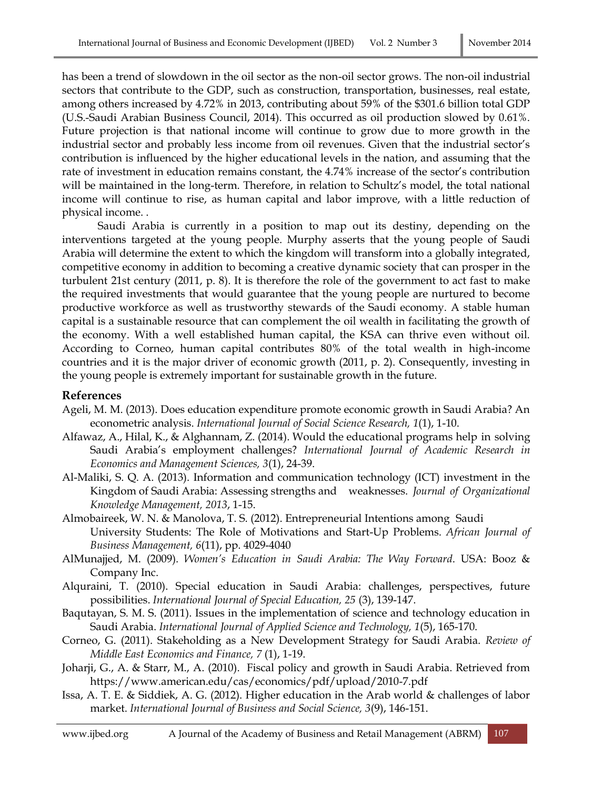has been a trend of slowdown in the oil sector as the non-oil sector grows. The non-oil industrial sectors that contribute to the GDP, such as construction, transportation, businesses, real estate, among others increased by 4.72% in 2013, contributing about 59% of the \$301.6 billion total GDP (U.S.-Saudi Arabian Business Council, 2014). This occurred as oil production slowed by 0.61%. Future projection is that national income will continue to grow due to more growth in the industrial sector and probably less income from oil revenues. Given that the industrial sector's contribution is influenced by the higher educational levels in the nation, and assuming that the rate of investment in education remains constant, the 4.74% increase of the sector's contribution will be maintained in the long-term. Therefore, in relation to Schultz's model, the total national income will continue to rise, as human capital and labor improve, with a little reduction of physical income. .

Saudi Arabia is currently in a position to map out its destiny, depending on the interventions targeted at the young people. Murphy asserts that the young people of Saudi Arabia will determine the extent to which the kingdom will transform into a globally integrated, competitive economy in addition to becoming a creative dynamic society that can prosper in the turbulent 21st century (2011, p. 8). It is therefore the role of the government to act fast to make the required investments that would guarantee that the young people are nurtured to become productive workforce as well as trustworthy stewards of the Saudi economy. A stable human capital is a sustainable resource that can complement the oil wealth in facilitating the growth of the economy. With a well established human capital, the KSA can thrive even without oil. According to Corneo, human capital contributes 80% of the total wealth in high-income countries and it is the major driver of economic growth (2011, p. 2). Consequently, investing in the young people is extremely important for sustainable growth in the future.

### **References**

- Ageli, M. M. (2013). Does education expenditure promote economic growth in Saudi Arabia? An econometric analysis. *International Journal of Social Science Research, 1*(1), 1-10.
- Alfawaz, A., Hilal, K., & Alghannam, Z. (2014). Would the educational programs help in solving Saudi Arabia's employment challenges? *International Journal of Academic Research in Economics and Management Sciences, 3*(1), 24-39.
- Al-Maliki, S. Q. A. (2013). Information and communication technology (ICT) investment in the Kingdom of Saudi Arabia: Assessing strengths and weaknesses. *Journal of Organizational Knowledge Management, 2013*, 1-15.
- Almobaireek, W. N. & Manolova, T. S. (2012). Entrepreneurial Intentions among Saudi University Students: The Role of Motivations and Start-Up Problems. *African Journal of Business Management, 6*(11), pp. 4029-4040
- AlMunajjed, M. (2009). *Women's Education in Saudi Arabia: The Way Forward*. USA: Booz & Company Inc.
- Alquraini, T. (2010). Special education in Saudi Arabia: challenges, perspectives, future possibilities. *International Journal of Special Education, 25* (3), 139-147.
- Baqutayan, S. M. S. (2011). Issues in the implementation of science and technology education in Saudi Arabia. *International Journal of Applied Science and Technology, 1*(5), 165-170.
- Corneo, G. (2011). Stakeholding as a New Development Strategy for Saudi Arabia. *Review of Middle East Economics and Finance, 7* (1), 1-19.
- Joharji, G., A. & Starr, M., A. (2010). Fiscal policy and growth in Saudi Arabia. Retrieved from https://www.american.edu/cas/economics/pdf/upload/2010-7.pdf
- Issa, A. T. E. & Siddiek, A. G. (2012). Higher education in the Arab world & challenges of labor market. *International Journal of Business and Social Science, 3*(9), 146-151.